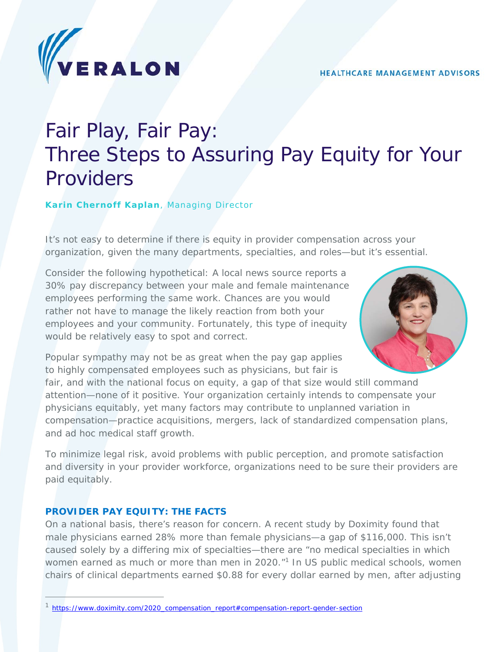

# Fair Play, Fair Pay: Three Steps to Assuring Pay Equity for Your Providers

**Karin Chernoff Kaplan**, Managing Director

*It's not easy to determine if there is equity in provider compensation across your organization, given the many departments, specialties, and roles—but it's essential.* 

Consider the following hypothetical: A local news source reports a 30% pay discrepancy between your male and female maintenance employees performing the same work. Chances are you would rather not have to manage the likely reaction from both your employees and your community. Fortunately, this type of inequity would be relatively easy to spot and correct.



Popular sympathy may not be as great when the pay gap applies to highly compensated employees such as physicians, but fair is

fair, and with the national focus on equity, a gap of that size would still command attention—none of it positive. Your organization certainly intends to compensate your physicians equitably, yet many factors may contribute to unplanned variation in compensation—practice acquisitions, mergers, lack of standardized compensation plans, and ad hoc medical staff growth.

To minimize legal risk, avoid problems with public perception, and promote satisfaction and diversity in your provider workforce, organizations need to be sure their providers are paid equitably.

#### **PROVIDER PAY EQUITY: THE FACTS**

On a national basis, there's reason for concern. A recent study by Doximity found that *male physicians earned 28% more than female physicians—a gap of \$116,000.* This isn't caused solely by a differing mix of specialties—there are "no medical specialties in which women earned as much or more than men in 2020."<sup>1</sup> In US public medical schools, women chairs of clinical departments earned \$0.88 for every dollar earned by men, after adjusting

<sup>&</sup>lt;sup>1</sup> https://www.doximity.com/2020\_compensation\_report#compensation-report-gender-section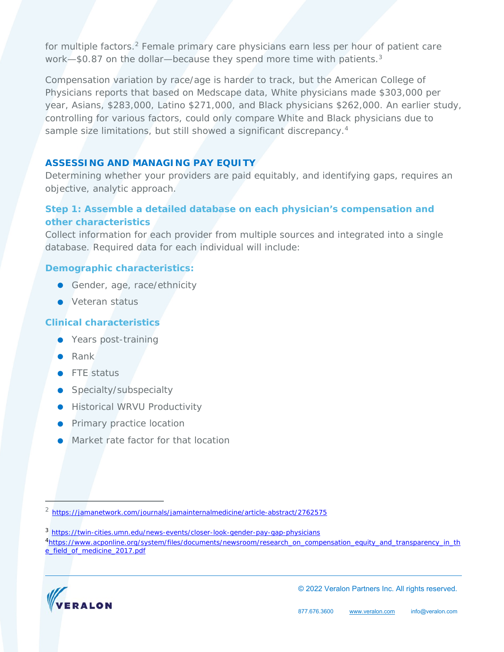for multiple factors.<sup>2</sup> Female primary care physicians earn less per hour of patient care work-\$0.87 on the dollar-because they spend more time with patients.<sup>3</sup>

Compensation variation by race/age is harder to track, but the American College of Physicians reports that based on Medscape data, White physicians made \$303,000 per year, Asians, \$283,000, Latino \$271,000, and Black physicians \$262,000. An earlier study, controlling for various factors, could only compare White and Black physicians due to sample size limitations, but still showed a significant discrepancy.<sup>4</sup>

## **ASSESSING AND MANAGING PAY EQUITY**

Determining whether your providers are paid equitably, and identifying gaps, requires an objective, analytic approach.

# **Step 1: Assemble a detailed database on each physician's compensation and other characteristics**

Collect information for each provider from multiple sources and integrated into a single database. Required data for each individual will include:

# **Demographic characteristics:**

- Gender, age, race/ethnicity
- Veteran status

## **Clinical characteristics**

- Years post-training
- Rank
- **•** FTE status
- **Specialty/subspecialty**
- **Historical WRVU Productivity**
- **•** Primary practice location
- Market rate factor for that location

<sup>3</sup> https://twin-cities.umn.edu/news-events/closer-look-gender-pay-gap-physicians

<sup>4</sup>https://www.acponline.org/system/files/documents/newsroom/research\_on\_compensation\_equity\_and\_transparency\_in\_th e\_field\_of\_medicine\_2017.pdf



© 2022 Veralon Partners Inc. All rights reserved.

<sup>&</sup>lt;sup>2</sup> https://jamanetwork.com/journals/jamainternalmedicine/article-abstract/2762575